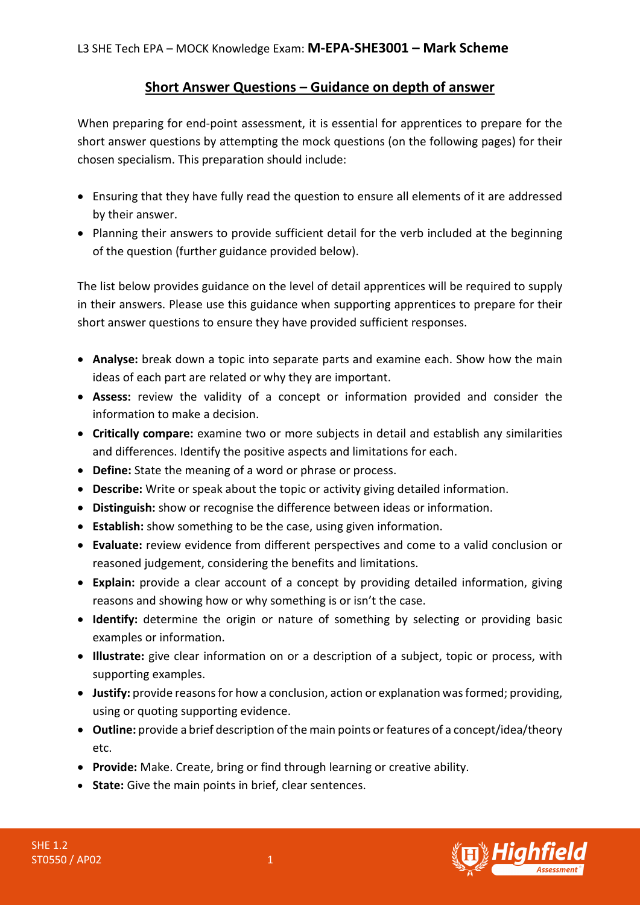## **Short Answer Questions – Guidance on depth of answer**

When preparing for end-point assessment, it is essential for apprentices to prepare for the short answer questions by attempting the mock questions (on the following pages) for their chosen specialism. This preparation should include:

- Ensuring that they have fully read the question to ensure all elements of it are addressed by their answer.
- Planning their answers to provide sufficient detail for the verb included at the beginning of the question (further guidance provided below).

The list below provides guidance on the level of detail apprentices will be required to supply in their answers. Please use this guidance when supporting apprentices to prepare for their short answer questions to ensure they have provided sufficient responses.

- **Analyse:** break down a topic into separate parts and examine each. Show how the main ideas of each part are related or why they are important.
- **Assess:** review the validity of a concept or information provided and consider the information to make a decision.
- **Critically compare:** examine two or more subjects in detail and establish any similarities and differences. Identify the positive aspects and limitations for each.
- **Define:** State the meaning of a word or phrase or process.
- **Describe:** Write or speak about the topic or activity giving detailed information.
- **Distinguish:** show or recognise the difference between ideas or information.
- **Establish:** show something to be the case, using given information.
- **Evaluate:** review evidence from different perspectives and come to a valid conclusion or reasoned judgement, considering the benefits and limitations.
- **Explain:** provide a clear account of a concept by providing detailed information, giving reasons and showing how or why something is or isn't the case.
- **Identify:** determine the origin or nature of something by selecting or providing basic examples or information.
- **Illustrate:** give clear information on or a description of a subject, topic or process, with supporting examples.
- **Justify:** provide reasons for how a conclusion, action or explanation was formed; providing, using or quoting supporting evidence.
- **Outline:** provide a brief description of the main points or features of a concept/idea/theory etc.
- **Provide:** Make. Create, bring or find through learning or creative ability.
- **State:** Give the main points in brief, clear sentences.



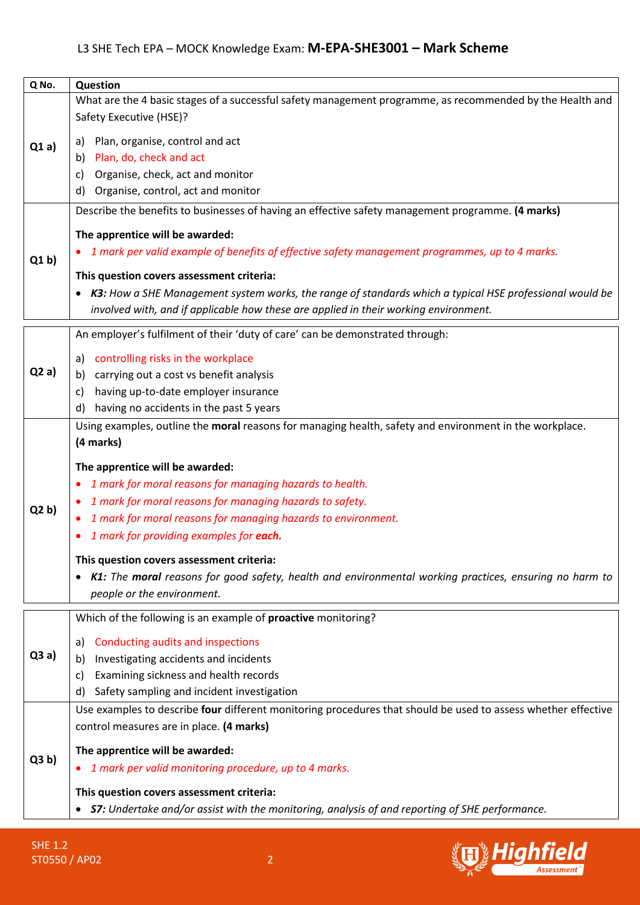| Q No. | <b>Question</b>                                                                                               |
|-------|---------------------------------------------------------------------------------------------------------------|
|       | What are the 4 basic stages of a successful safety management programme, as recommended by the Health and     |
|       | Safety Executive (HSE)?                                                                                       |
|       | Plan, organise, control and act                                                                               |
| Q1a)  | a)<br>b) Plan, do, check and act                                                                              |
|       |                                                                                                               |
|       | Organise, check, act and monitor<br>C)                                                                        |
|       | Organise, control, act and monitor<br>d)                                                                      |
| Q1 b  | Describe the benefits to businesses of having an effective safety management programme. (4 marks)             |
|       | The apprentice will be awarded:                                                                               |
|       | 1 mark per valid example of benefits of effective safety management programmes, up to 4 marks.                |
|       |                                                                                                               |
|       | This question covers assessment criteria:                                                                     |
|       | K3: How a SHE Management system works, the range of standards which a typical HSE professional would be       |
|       | involved with, and if applicable how these are applied in their working environment.                          |
|       | An employer's fulfilment of their 'duty of care' can be demonstrated through:                                 |
| Q2a)  |                                                                                                               |
|       | a) controlling risks in the workplace                                                                         |
|       | b) carrying out a cost vs benefit analysis                                                                    |
|       | having up-to-date employer insurance<br>C)                                                                    |
|       | d) having no accidents in the past 5 years                                                                    |
|       | Using examples, outline the moral reasons for managing health, safety and environment in the workplace.       |
|       | (4 marks)                                                                                                     |
|       | The apprentice will be awarded:                                                                               |
|       | 1 mark for moral reasons for managing hazards to health.                                                      |
|       | 1 mark for moral reasons for managing hazards to safety.                                                      |
| Q2 b  | 1 mark for moral reasons for managing hazards to environment.                                                 |
|       | 1 mark for providing examples for each.                                                                       |
|       |                                                                                                               |
|       | This question covers assessment criteria:                                                                     |
|       | K1: The moral reasons for good safety, health and environmental working practices, ensuring no harm to<br>٠   |
|       | people or the environment.                                                                                    |
|       | Which of the following is an example of proactive monitoring?                                                 |
|       |                                                                                                               |
| Q3a)  | Conducting audits and inspections<br>a)                                                                       |
|       | Investigating accidents and incidents<br>b)                                                                   |
|       | Examining sickness and health records<br>C)                                                                   |
|       | d) Safety sampling and incident investigation                                                                 |
|       | Use examples to describe four different monitoring procedures that should be used to assess whether effective |
| Q3 b) | control measures are in place. (4 marks)                                                                      |
|       | The apprentice will be awarded:                                                                               |
|       | 1 mark per valid monitoring procedure, up to 4 marks.<br>٠                                                    |
|       |                                                                                                               |
|       | This question covers assessment criteria:                                                                     |
|       | • S7: Undertake and/or assist with the monitoring, analysis of and reporting of SHE performance.              |

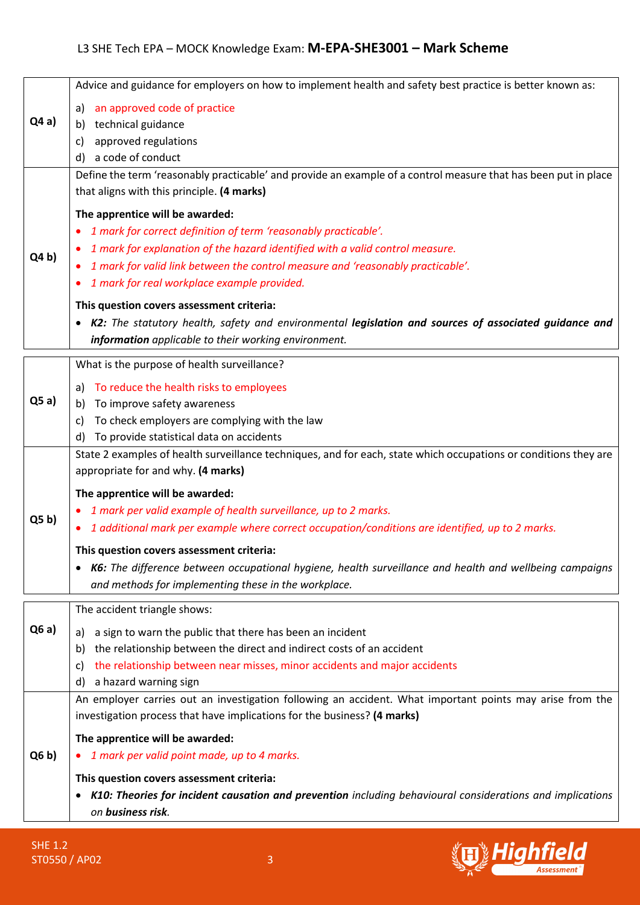|                 | Advice and guidance for employers on how to implement health and safety best practice is better known as:        |
|-----------------|------------------------------------------------------------------------------------------------------------------|
|                 | an approved code of practice<br>a)                                                                               |
| Q4a)            | technical guidance<br>b)                                                                                         |
|                 | approved regulations<br>C)                                                                                       |
|                 | d) a code of conduct                                                                                             |
|                 | Define the term 'reasonably practicable' and provide an example of a control measure that has been put in place  |
|                 | that aligns with this principle. (4 marks)                                                                       |
|                 | The apprentice will be awarded:                                                                                  |
|                 | 1 mark for correct definition of term 'reasonably practicable'.<br>٠                                             |
|                 | 1 mark for explanation of the hazard identified with a valid control measure.                                    |
| Q4 b            | 1 mark for valid link between the control measure and 'reasonably practicable'.                                  |
|                 | 1 mark for real workplace example provided.<br>٠                                                                 |
|                 | This question covers assessment criteria:                                                                        |
|                 | K2: The statutory health, safety and environmental legislation and sources of associated guidance and            |
|                 | information applicable to their working environment.                                                             |
|                 | What is the purpose of health surveillance?                                                                      |
|                 | To reduce the health risks to employees                                                                          |
| Q5a)            | a)<br>To improve safety awareness<br>b)                                                                          |
|                 | To check employers are complying with the law<br>C)                                                              |
|                 | To provide statistical data on accidents<br>d)                                                                   |
|                 | State 2 examples of health surveillance techniques, and for each, state which occupations or conditions they are |
|                 | appropriate for and why. (4 marks)                                                                               |
|                 | The apprentice will be awarded:                                                                                  |
|                 | 1 mark per valid example of health surveillance, up to 2 marks.                                                  |
| Q5 <sub>b</sub> | 1 additional mark per example where correct occupation/conditions are identified, up to 2 marks.<br>٠            |
|                 | This question covers assessment criteria:                                                                        |
|                 | K6: The difference between occupational hygiene, health surveillance and health and wellbeing campaigns<br>٠     |
|                 | and methods for implementing these in the workplace.                                                             |
|                 |                                                                                                                  |
|                 | The accident triangle shows:                                                                                     |
| Q6a)            | a sign to warn the public that there has been an incident<br>a)                                                  |
|                 | the relationship between the direct and indirect costs of an accident<br>b)                                      |
|                 | the relationship between near misses, minor accidents and major accidents<br>C)                                  |
|                 | a hazard warning sign<br>d)                                                                                      |
|                 | An employer carries out an investigation following an accident. What important points may arise from the         |
|                 | investigation process that have implications for the business? (4 marks)                                         |
|                 | The apprentice will be awarded:                                                                                  |
| Q6 b)           | 1 mark per valid point made, up to 4 marks.                                                                      |
|                 | This question covers assessment criteria:                                                                        |
|                 |                                                                                                                  |
|                 | K10: Theories for incident causation and prevention including behavioural considerations and implications<br>٠   |

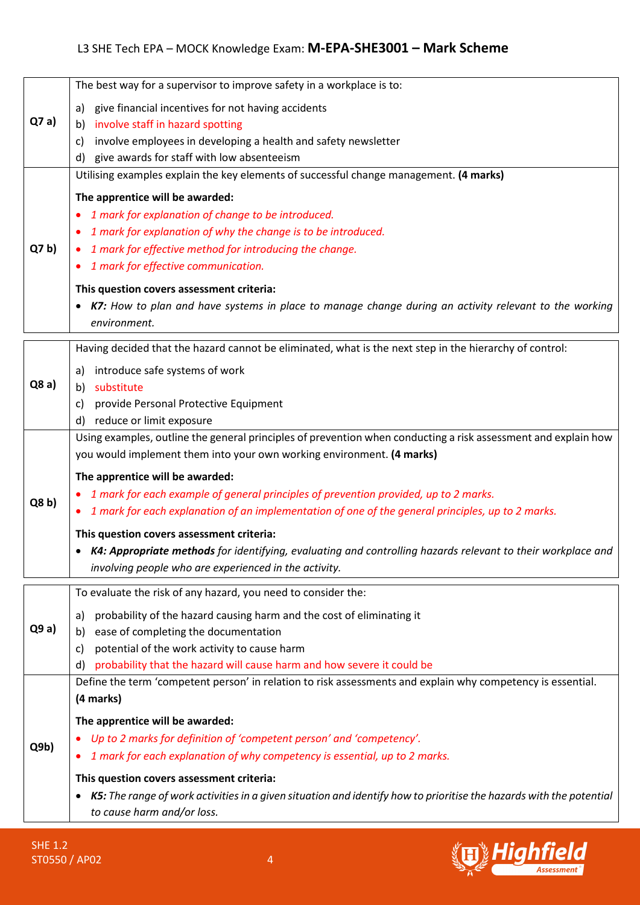| Q7a)            | The best way for a supervisor to improve safety in a workplace is to:<br>a) give financial incentives for not having accidents<br>b) involve staff in hazard spotting<br>involve employees in developing a health and safety newsletter<br>C)<br>d) give awards for staff with low absenteeism                                                                                                                                                                                                                                            |
|-----------------|-------------------------------------------------------------------------------------------------------------------------------------------------------------------------------------------------------------------------------------------------------------------------------------------------------------------------------------------------------------------------------------------------------------------------------------------------------------------------------------------------------------------------------------------|
|                 | Utilising examples explain the key elements of successful change management. (4 marks)                                                                                                                                                                                                                                                                                                                                                                                                                                                    |
| Q7 b            | The apprentice will be awarded:<br>1 mark for explanation of change to be introduced.<br>$\bullet$<br>1 mark for explanation of why the change is to be introduced.<br>1 mark for effective method for introducing the change.<br>1 mark for effective communication.<br>٠<br>This question covers assessment criteria:<br>• K7: How to plan and have systems in place to manage change during an activity relevant to the working<br>environment.                                                                                        |
|                 | Having decided that the hazard cannot be eliminated, what is the next step in the hierarchy of control:                                                                                                                                                                                                                                                                                                                                                                                                                                   |
| Q8a)            | a) introduce safe systems of work<br>substitute<br>b)<br>provide Personal Protective Equipment<br>C)<br>d) reduce or limit exposure                                                                                                                                                                                                                                                                                                                                                                                                       |
|                 | Using examples, outline the general principles of prevention when conducting a risk assessment and explain how                                                                                                                                                                                                                                                                                                                                                                                                                            |
| Q8 b)           | you would implement them into your own working environment. (4 marks)<br>The apprentice will be awarded:<br>1 mark for each example of general principles of prevention provided, up to 2 marks.<br>1 mark for each explanation of an implementation of one of the general principles, up to 2 marks.<br>$\bullet$<br>This question covers assessment criteria:<br>• K4: Appropriate methods for identifying, evaluating and controlling hazards relevant to their workplace and<br>involving people who are experienced in the activity. |
|                 | To evaluate the risk of any hazard, you need to consider the:                                                                                                                                                                                                                                                                                                                                                                                                                                                                             |
| Q9a)            | probability of the hazard causing harm and the cost of eliminating it<br>a)<br>ease of completing the documentation<br>b)<br>potential of the work activity to cause harm<br>C)<br>probability that the hazard will cause harm and how severe it could be<br>d)                                                                                                                                                                                                                                                                           |
|                 | Define the term 'competent person' in relation to risk assessments and explain why competency is essential.                                                                                                                                                                                                                                                                                                                                                                                                                               |
|                 | (4 marks)                                                                                                                                                                                                                                                                                                                                                                                                                                                                                                                                 |
|                 | The apprentice will be awarded:                                                                                                                                                                                                                                                                                                                                                                                                                                                                                                           |
| Q <sub>9b</sub> | Up to 2 marks for definition of 'competent person' and 'competency'.                                                                                                                                                                                                                                                                                                                                                                                                                                                                      |
|                 | 1 mark for each explanation of why competency is essential, up to 2 marks.                                                                                                                                                                                                                                                                                                                                                                                                                                                                |
|                 | This question covers assessment criteria:                                                                                                                                                                                                                                                                                                                                                                                                                                                                                                 |
|                 | • K5: The range of work activities in a given situation and identify how to prioritise the hazards with the potential<br>to cause harm and/or loss.                                                                                                                                                                                                                                                                                                                                                                                       |